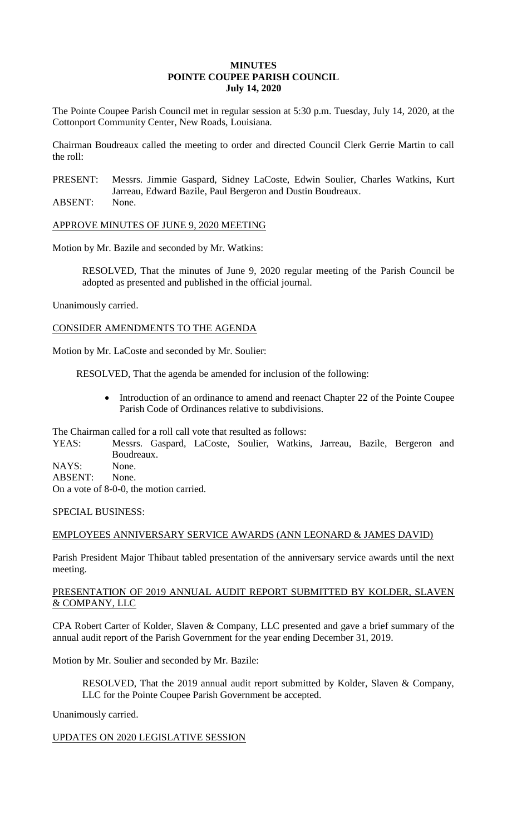## **MINUTES POINTE COUPEE PARISH COUNCIL July 14, 2020**

The Pointe Coupee Parish Council met in regular session at 5:30 p.m. Tuesday, July 14, 2020, at the Cottonport Community Center, New Roads, Louisiana.

Chairman Boudreaux called the meeting to order and directed Council Clerk Gerrie Martin to call the roll:

PRESENT: Messrs. Jimmie Gaspard, Sidney LaCoste, Edwin Soulier, Charles Watkins, Kurt Jarreau, Edward Bazile, Paul Bergeron and Dustin Boudreaux.

ABSENT: None.

APPROVE MINUTES OF JUNE 9, 2020 MEETING

Motion by Mr. Bazile and seconded by Mr. Watkins:

RESOLVED, That the minutes of June 9, 2020 regular meeting of the Parish Council be adopted as presented and published in the official journal.

Unanimously carried.

CONSIDER AMENDMENTS TO THE AGENDA

Motion by Mr. LaCoste and seconded by Mr. Soulier:

RESOLVED, That the agenda be amended for inclusion of the following:

• Introduction of an ordinance to amend and reenact Chapter 22 of the Pointe Coupee Parish Code of Ordinances relative to subdivisions.

The Chairman called for a roll call vote that resulted as follows:

YEAS: Messrs. Gaspard, LaCoste, Soulier, Watkins, Jarreau, Bazile, Bergeron and Boudreaux.

NAYS: None.

ABSENT: None. On a vote of 8-0-0, the motion carried.

SPECIAL BUSINESS:

# EMPLOYEES ANNIVERSARY SERVICE AWARDS (ANN LEONARD & JAMES DAVID)

Parish President Major Thibaut tabled presentation of the anniversary service awards until the next meeting.

# PRESENTATION OF 2019 ANNUAL AUDIT REPORT SUBMITTED BY KOLDER, SLAVEN & COMPANY, LLC

CPA Robert Carter of Kolder, Slaven & Company, LLC presented and gave a brief summary of the annual audit report of the Parish Government for the year ending December 31, 2019.

Motion by Mr. Soulier and seconded by Mr. Bazile:

RESOLVED, That the 2019 annual audit report submitted by Kolder, Slaven & Company, LLC for the Pointe Coupee Parish Government be accepted.

Unanimously carried.

# UPDATES ON 2020 LEGISLATIVE SESSION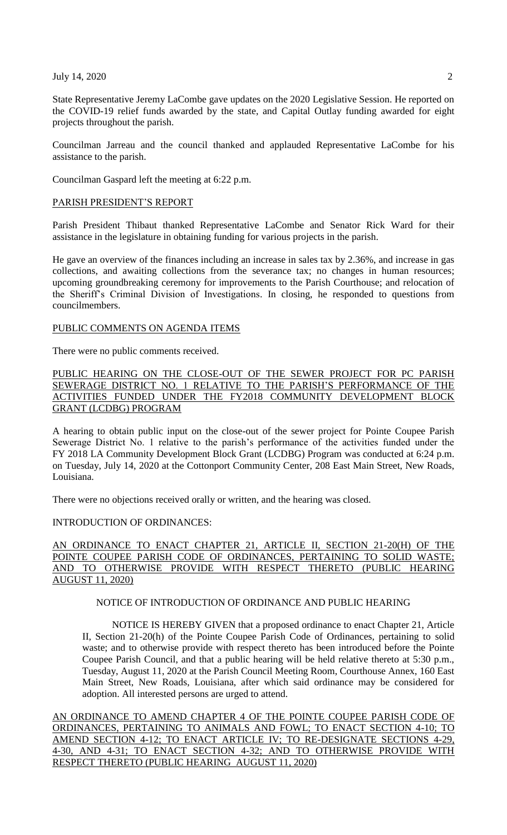#### July 14, 2020 2

State Representative Jeremy LaCombe gave updates on the 2020 Legislative Session. He reported on the COVID-19 relief funds awarded by the state, and Capital Outlay funding awarded for eight projects throughout the parish.

Councilman Jarreau and the council thanked and applauded Representative LaCombe for his assistance to the parish.

Councilman Gaspard left the meeting at 6:22 p.m.

#### PARISH PRESIDENT'S REPORT

Parish President Thibaut thanked Representative LaCombe and Senator Rick Ward for their assistance in the legislature in obtaining funding for various projects in the parish.

He gave an overview of the finances including an increase in sales tax by 2.36%, and increase in gas collections, and awaiting collections from the severance tax; no changes in human resources; upcoming groundbreaking ceremony for improvements to the Parish Courthouse; and relocation of the Sheriff's Criminal Division of Investigations. In closing, he responded to questions from councilmembers.

#### PUBLIC COMMENTS ON AGENDA ITEMS

There were no public comments received.

PUBLIC HEARING ON THE CLOSE-OUT OF THE SEWER PROJECT FOR PC PARISH SEWERAGE DISTRICT NO. 1 RELATIVE TO THE PARISH'S PERFORMANCE OF THE ACTIVITIES FUNDED UNDER THE FY2018 COMMUNITY DEVELOPMENT BLOCK GRANT (LCDBG) PROGRAM

A hearing to obtain public input on the close-out of the sewer project for Pointe Coupee Parish Sewerage District No. 1 relative to the parish's performance of the activities funded under the FY 2018 LA Community Development Block Grant (LCDBG) Program was conducted at 6:24 p.m. on Tuesday, July 14, 2020 at the Cottonport Community Center, 208 East Main Street, New Roads, Louisiana.

There were no objections received orally or written, and the hearing was closed.

## INTRODUCTION OF ORDINANCES:

# AN ORDINANCE TO ENACT CHAPTER 21, ARTICLE II, SECTION 21-20(H) OF THE POINTE COUPEE PARISH CODE OF ORDINANCES, PERTAINING TO SOLID WASTE; AND TO OTHERWISE PROVIDE WITH RESPECT THERETO (PUBLIC HEARING AUGUST 11, 2020)

#### NOTICE OF INTRODUCTION OF ORDINANCE AND PUBLIC HEARING

NOTICE IS HEREBY GIVEN that a proposed ordinance to enact Chapter 21, Article II, Section 21-20(h) of the Pointe Coupee Parish Code of Ordinances, pertaining to solid waste; and to otherwise provide with respect thereto has been introduced before the Pointe Coupee Parish Council, and that a public hearing will be held relative thereto at 5:30 p.m., Tuesday, August 11, 2020 at the Parish Council Meeting Room, Courthouse Annex, 160 East Main Street, New Roads, Louisiana, after which said ordinance may be considered for adoption. All interested persons are urged to attend.

AN ORDINANCE TO AMEND CHAPTER 4 OF THE POINTE COUPEE PARISH CODE OF ORDINANCES, PERTAINING TO ANIMALS AND FOWL; TO ENACT SECTION 4-10; TO AMEND SECTION 4-12; TO ENACT ARTICLE IV; TO RE-DESIGNATE SECTIONS 4-29, 4-30, AND 4-31; TO ENACT SECTION 4-32; AND TO OTHERWISE PROVIDE WITH RESPECT THERETO (PUBLIC HEARING AUGUST 11, 2020)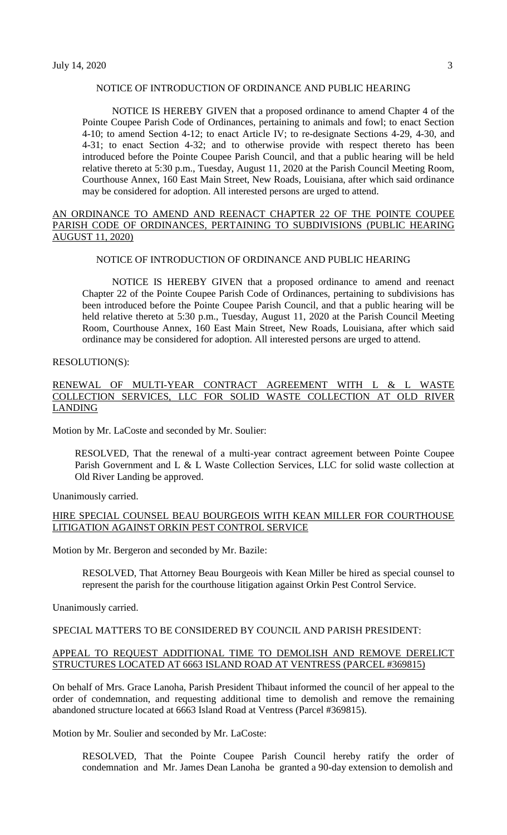## NOTICE OF INTRODUCTION OF ORDINANCE AND PUBLIC HEARING

NOTICE IS HEREBY GIVEN that a proposed ordinance to amend Chapter 4 of the Pointe Coupee Parish Code of Ordinances, pertaining to animals and fowl; to enact Section 4-10; to amend Section 4-12; to enact Article IV; to re-designate Sections 4-29, 4-30, and 4-31; to enact Section 4-32; and to otherwise provide with respect thereto has been introduced before the Pointe Coupee Parish Council, and that a public hearing will be held relative thereto at 5:30 p.m., Tuesday, August 11, 2020 at the Parish Council Meeting Room, Courthouse Annex, 160 East Main Street, New Roads, Louisiana, after which said ordinance may be considered for adoption. All interested persons are urged to attend.

## AN ORDINANCE TO AMEND AND REENACT CHAPTER 22 OF THE POINTE COUPEE PARISH CODE OF ORDINANCES, PERTAINING TO SUBDIVISIONS (PUBLIC HEARING AUGUST 11, 2020)

## NOTICE OF INTRODUCTION OF ORDINANCE AND PUBLIC HEARING

NOTICE IS HEREBY GIVEN that a proposed ordinance to amend and reenact Chapter 22 of the Pointe Coupee Parish Code of Ordinances, pertaining to subdivisions has been introduced before the Pointe Coupee Parish Council, and that a public hearing will be held relative thereto at 5:30 p.m., Tuesday, August 11, 2020 at the Parish Council Meeting Room, Courthouse Annex, 160 East Main Street, New Roads, Louisiana, after which said ordinance may be considered for adoption. All interested persons are urged to attend.

### RESOLUTION(S):

## RENEWAL OF MULTI-YEAR CONTRACT AGREEMENT WITH L & L WASTE COLLECTION SERVICES, LLC FOR SOLID WASTE COLLECTION AT OLD RIVER LANDING

Motion by Mr. LaCoste and seconded by Mr. Soulier:

RESOLVED, That the renewal of a multi-year contract agreement between Pointe Coupee Parish Government and L & L Waste Collection Services, LLC for solid waste collection at Old River Landing be approved.

Unanimously carried.

#### HIRE SPECIAL COUNSEL BEAU BOURGEOIS WITH KEAN MILLER FOR COURTHOUSE LITIGATION AGAINST ORKIN PEST CONTROL SERVICE

Motion by Mr. Bergeron and seconded by Mr. Bazile:

RESOLVED, That Attorney Beau Bourgeois with Kean Miller be hired as special counsel to represent the parish for the courthouse litigation against Orkin Pest Control Service.

Unanimously carried.

# SPECIAL MATTERS TO BE CONSIDERED BY COUNCIL AND PARISH PRESIDENT:

#### APPEAL TO REQUEST ADDITIONAL TIME TO DEMOLISH AND REMOVE DERELICT STRUCTURES LOCATED AT 6663 ISLAND ROAD AT VENTRESS (PARCEL #369815)

On behalf of Mrs. Grace Lanoha, Parish President Thibaut informed the council of her appeal to the order of condemnation, and requesting additional time to demolish and remove the remaining abandoned structure located at 6663 Island Road at Ventress (Parcel #369815).

Motion by Mr. Soulier and seconded by Mr. LaCoste:

RESOLVED, That the Pointe Coupee Parish Council hereby ratify the order of condemnation and Mr. James Dean Lanoha be granted a 90-day extension to demolish and